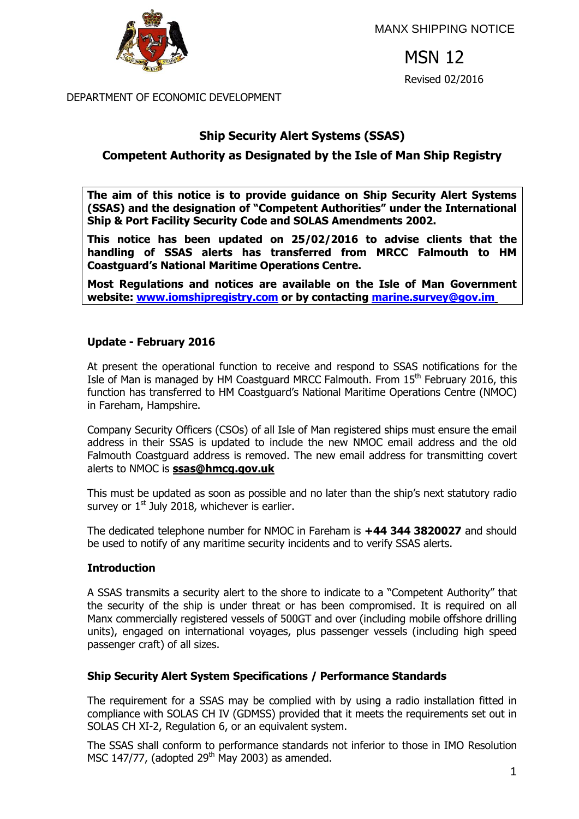

MANX SHIPPING NOTICE

MSN 12 Revised 02/2016

DEPARTMENT OF ECONOMIC DEVELOPMENT

# **Ship Security Alert Systems (SSAS)**

# **Competent Authority as Designated by the Isle of Man Ship Registry**

**The aim of this notice is to provide guidance on Ship Security Alert Systems (SSAS) and the designation of "Competent Authorities" under the International Ship & Port Facility Security Code and SOLAS Amendments 2002.**

**This notice has been updated on 25/02/2016 to advise clients that the handling of SSAS alerts has transferred from MRCC Falmouth to HM Coastguard's National Maritime Operations Centre.** 

**Most Regulations and notices are available on the Isle of Man Government website: [www.iomshipregistry.com](http://www.gov.im/dti/shipping) or by contacting [marine.survey@gov.im](mailto:marine.survey@gov.im)**

#### **Update - February 2016**

At present the operational function to receive and respond to SSAS notifications for the Isle of Man is managed by HM Coastguard MRCC Falmouth. From  $15<sup>th</sup>$  February 2016, this function has transferred to HM Coastguard's National Maritime Operations Centre (NMOC) in Fareham, Hampshire.

Company Security Officers (CSOs) of all Isle of Man registered ships must ensure the email address in their SSAS is updated to include the new NMOC email address and the old Falmouth Coastguard address is removed. The new email address for transmitting covert alerts to NMOC is **[ssas@hmcg.gov.uk](mailto:ssas@hmcg.gov.uk)**

This must be updated as soon as possible and no later than the ship's next statutory radio survey or  $1<sup>st</sup>$  July 2018, whichever is earlier.

The dedicated telephone number for NMOC in Fareham is **+44 344 3820027** and should be used to notify of any maritime security incidents and to verify SSAS alerts.

#### **Introduction**

A SSAS transmits a security alert to the shore to indicate to a "Competent Authority" that the security of the ship is under threat or has been compromised. It is required on all Manx commercially registered vessels of 500GT and over (including mobile offshore drilling units), engaged on international voyages, plus passenger vessels (including high speed passenger craft) of all sizes.

#### **Ship Security Alert System Specifications / Performance Standards**

The requirement for a SSAS may be complied with by using a radio installation fitted in compliance with SOLAS CH IV (GDMSS) provided that it meets the requirements set out in SOLAS CH XI-2, Regulation 6, or an equivalent system.

The SSAS shall conform to performance standards not inferior to those in IMO Resolution MSC 147/77, (adopted  $29<sup>th</sup>$  May 2003) as amended.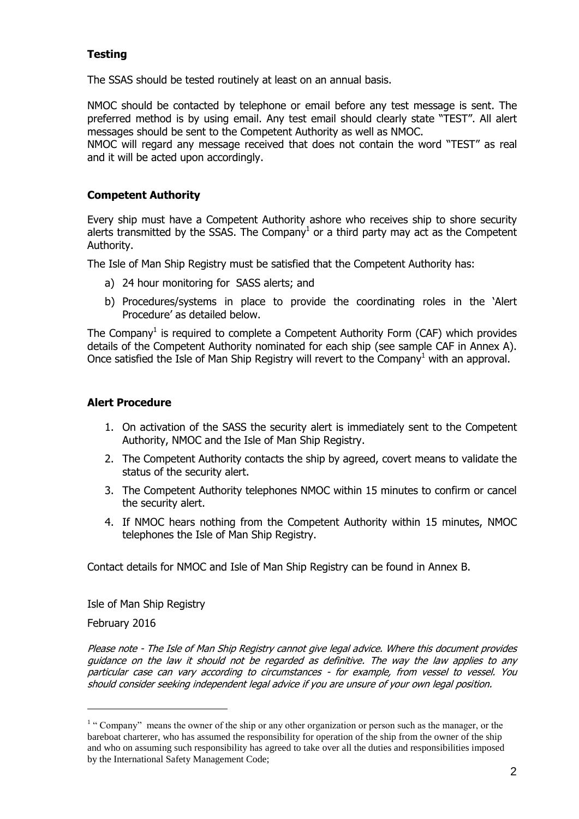# **Testing**

The SSAS should be tested routinely at least on an annual basis.

NMOC should be contacted by telephone or email before any test message is sent. The preferred method is by using email. Any test email should clearly state "TEST". All alert messages should be sent to the Competent Authority as well as NMOC.

NMOC will regard any message received that does not contain the word "TEST" as real and it will be acted upon accordingly.

### **Competent Authority**

Every ship must have a Competent Authority ashore who receives ship to shore security alerts transmitted by the SSAS. The Company<sup>1</sup> or a third party may act as the Competent Authority.

The Isle of Man Ship Registry must be satisfied that the Competent Authority has:

- a) 24 hour monitoring for SASS alerts; and
- b) Procedures/systems in place to provide the coordinating roles in the 'Alert Procedure' as detailed below.

The Company<sup>1</sup> is required to complete a Competent Authority Form (CAF) which provides details of the Competent Authority nominated for each ship (see sample CAF in Annex A). Once satisfied the Isle of Man Ship Registry will revert to the Company<sup>1</sup> with an approval.

#### **Alert Procedure**

- 1. On activation of the SASS the security alert is immediately sent to the Competent Authority, NMOC and the Isle of Man Ship Registry.
- 2. The Competent Authority contacts the ship by agreed, covert means to validate the status of the security alert.
- 3. The Competent Authority telephones NMOC within 15 minutes to confirm or cancel the security alert.
- 4. If NMOC hears nothing from the Competent Authority within 15 minutes, NMOC telephones the Isle of Man Ship Registry.

Contact details for NMOC and Isle of Man Ship Registry can be found in Annex B.

Isle of Man Ship Registry

February 2016

l

Please note - The Isle of Man Ship Registry cannot give legal advice. Where this document provides guidance on the law it should not be regarded as definitive. The way the law applies to any particular case can vary according to circumstances - for example, from vessel to vessel. You should consider seeking independent legal advice if you are unsure of your own legal position.

<sup>&</sup>lt;sup>1</sup> "Company" means the owner of the ship or any other organization or person such as the manager, or the bareboat charterer, who has assumed the responsibility for operation of the ship from the owner of the ship and who on assuming such responsibility has agreed to take over all the duties and responsibilities imposed by the International Safety Management Code;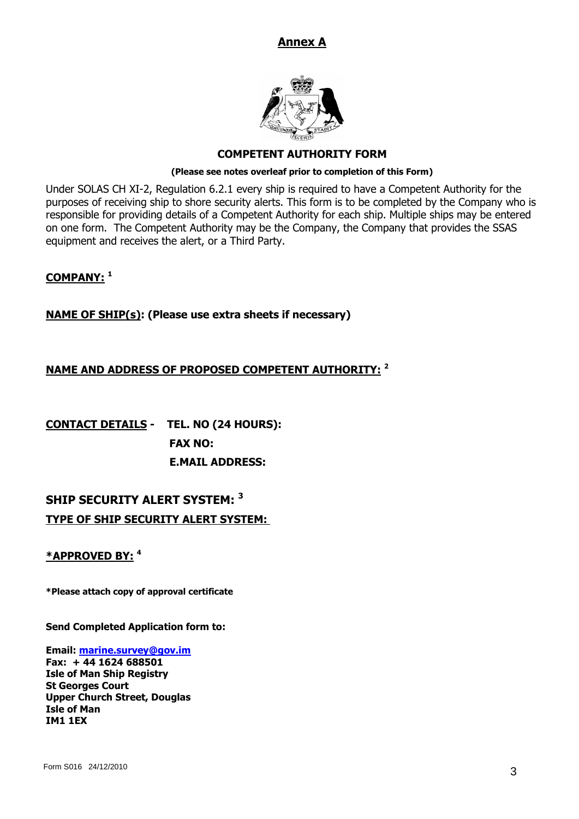# **Annex A**



#### **COMPETENT AUTHORITY FORM**

#### **(Please see notes overleaf prior to completion of this Form)**

Under SOLAS CH XI-2, Regulation 6.2.1 every ship is required to have a Competent Authority for the purposes of receiving ship to shore security alerts. This form is to be completed by the Company who is responsible for providing details of a Competent Authority for each ship. Multiple ships may be entered on one form. The Competent Authority may be the Company, the Company that provides the SSAS equipment and receives the alert, or a Third Party.

#### **COMPANY: <sup>1</sup>**

#### **NAME OF SHIP(s): (Please use extra sheets if necessary)**

#### **NAME AND ADDRESS OF PROPOSED COMPETENT AUTHORITY: <sup>2</sup>**

**CONTACT DETAILS - TEL. NO (24 HOURS): FAX NO: E.MAIL ADDRESS:** 

# **SHIP SECURITY ALERT SYSTEM: <sup>3</sup> TYPE OF SHIP SECURITY ALERT SYSTEM:**

#### **\*APPROVED BY: <sup>4</sup>**

**\*Please attach copy of approval certificate**

**Send Completed Application form to:**

**Email: [marine.survey@gov.im](mailto:marine.survey@gov.im) Fax: + 44 1624 688501 Isle of Man Ship Registry St Georges Court Upper Church Street, Douglas Isle of Man IM1 1EX**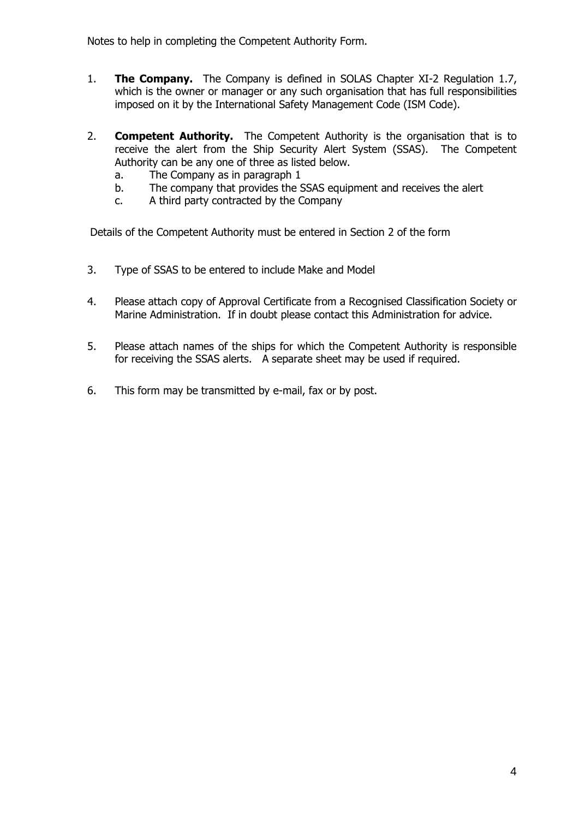Notes to help in completing the Competent Authority Form.

- 1. **The Company.** The Company is defined in SOLAS Chapter XI-2 Regulation 1.7, which is the owner or manager or any such organisation that has full responsibilities imposed on it by the International Safety Management Code (ISM Code).
- 2. **Competent Authority.** The Competent Authority is the organisation that is to receive the alert from the Ship Security Alert System (SSAS). The Competent Authority can be any one of three as listed below.
	- a. The Company as in paragraph 1
	- b. The company that provides the SSAS equipment and receives the alert
	- c. A third party contracted by the Company

Details of the Competent Authority must be entered in Section 2 of the form

- 3. Type of SSAS to be entered to include Make and Model
- 4. Please attach copy of Approval Certificate from a Recognised Classification Society or Marine Administration. If in doubt please contact this Administration for advice.
- 5. Please attach names of the ships for which the Competent Authority is responsible for receiving the SSAS alerts. A separate sheet may be used if required.
- 6. This form may be transmitted by e-mail, fax or by post.